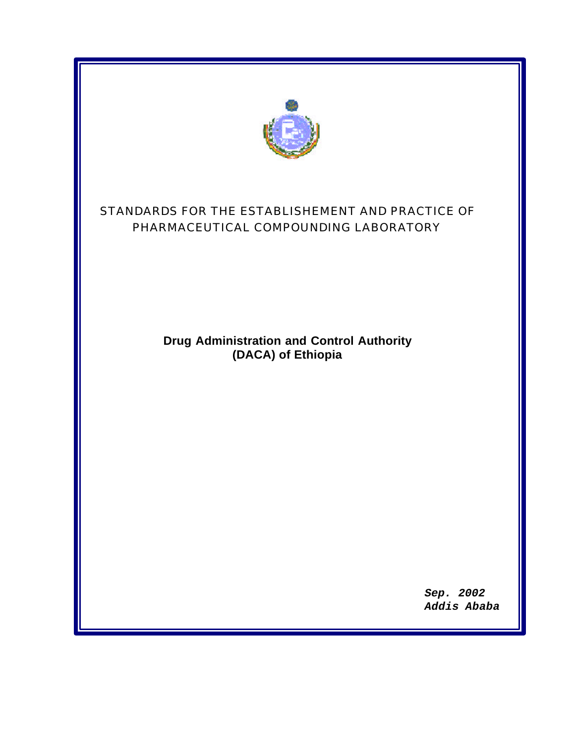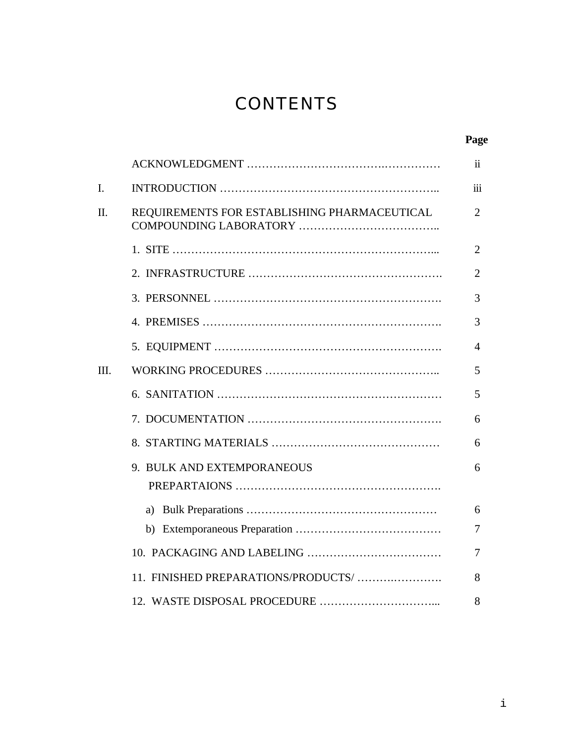# **CONTENTS**

|      |                                              | Page                    |
|------|----------------------------------------------|-------------------------|
|      |                                              | $\overline{\mathbf{1}}$ |
| I.   |                                              | iii                     |
| Π.   | REQUIREMENTS FOR ESTABLISHING PHARMACEUTICAL | $\overline{2}$          |
|      |                                              | $\overline{2}$          |
|      |                                              | $\overline{2}$          |
|      |                                              | 3                       |
|      |                                              | 3                       |
|      |                                              | 4                       |
| III. |                                              | 5                       |
|      |                                              | 5                       |
|      |                                              | 6                       |
|      |                                              | 6                       |
|      | 9. BULK AND EXTEMPORANEOUS                   | 6                       |
|      |                                              | 6                       |
|      |                                              | 7                       |
|      |                                              | 7                       |
|      | 11. FINISHED PREPARATIONS/PRODUCTS/          | 8                       |
|      |                                              | 8                       |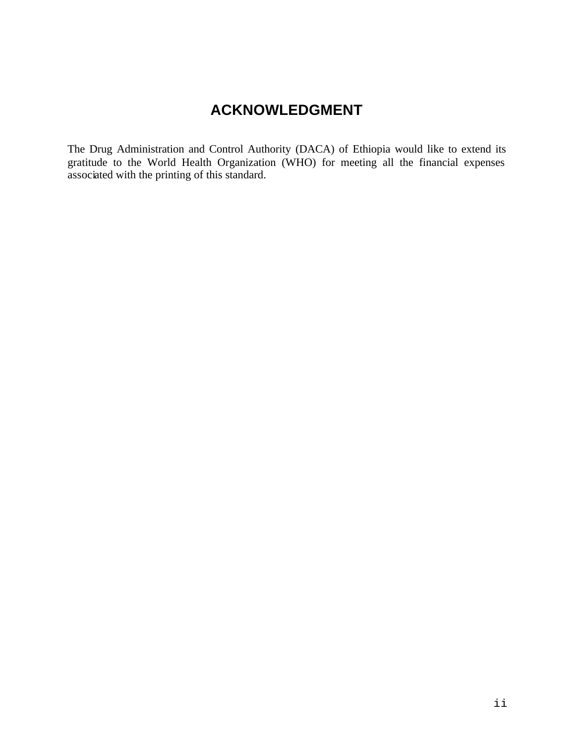## **ACKNOWLEDGMENT**

The Drug Administration and Control Authority (DACA) of Ethiopia would like to extend its gratitude to the World Health Organization (WHO) for meeting all the financial expenses associated with the printing of this standard.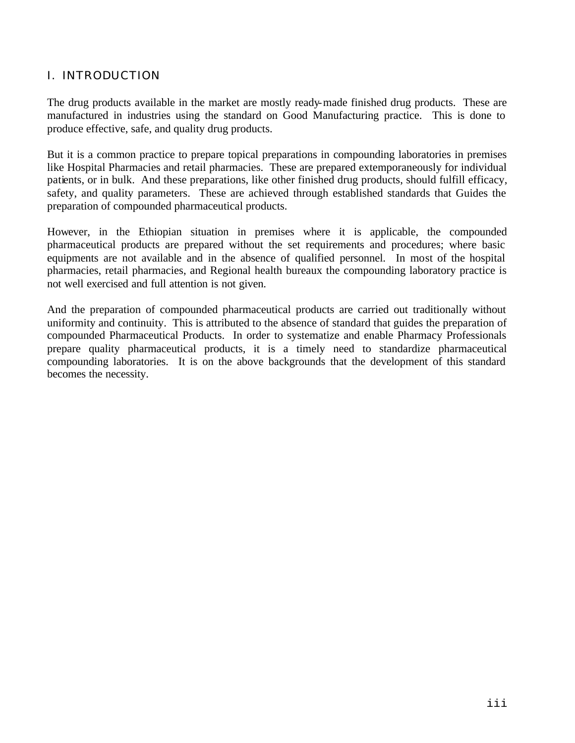#### I. INTRODUCTION

The drug products available in the market are mostly ready-made finished drug products. These are manufactured in industries using the standard on Good Manufacturing practice. This is done to produce effective, safe, and quality drug products.

But it is a common practice to prepare topical preparations in compounding laboratories in premises like Hospital Pharmacies and retail pharmacies. These are prepared extemporaneously for individual patients, or in bulk. And these preparations, like other finished drug products, should fulfill efficacy, safety, and quality parameters. These are achieved through established standards that Guides the preparation of compounded pharmaceutical products.

However, in the Ethiopian situation in premises where it is applicable, the compounded pharmaceutical products are prepared without the set requirements and procedures; where basic equipments are not available and in the absence of qualified personnel. In most of the hospital pharmacies, retail pharmacies, and Regional health bureaux the compounding laboratory practice is not well exercised and full attention is not given.

And the preparation of compounded pharmaceutical products are carried out traditionally without uniformity and continuity. This is attributed to the absence of standard that guides the preparation of compounded Pharmaceutical Products. In order to systematize and enable Pharmacy Professionals prepare quality pharmaceutical products, it is a timely need to standardize pharmaceutical compounding laboratories. It is on the above backgrounds that the development of this standard becomes the necessity.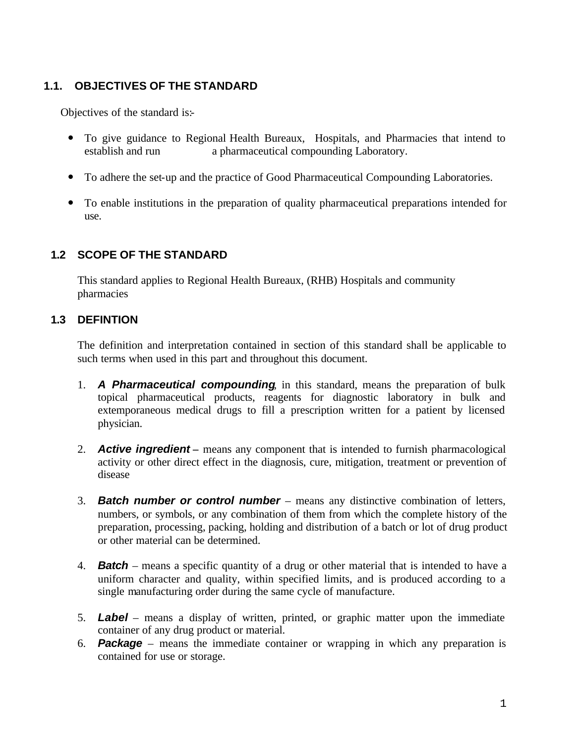#### **1.1. OBJECTIVES OF THE STANDARD**

Objectives of the standard is:-

- To give guidance to Regional Health Bureaux, Hospitals, and Pharmacies that intend to establish and run a pharmaceutical compounding Laboratory. a pharmaceutical compounding Laboratory.
- ó To adhere the set-up and the practice of Good Pharmaceutical Compounding Laboratories.
- ó To enable institutions in the preparation of quality pharmaceutical preparations intended for use.

#### **1.2 SCOPE OF THE STANDARD**

This standard applies to Regional Health Bureaux, (RHB) Hospitals and community pharmacies

#### **1.3 DEFINTION**

The definition and interpretation contained in section of this standard shall be applicable to such terms when used in this part and throughout this document.

- 1. *A Pharmaceutical compounding*, in this standard, means the preparation of bulk topical pharmaceutical products, reagents for diagnostic laboratory in bulk and extemporaneous medical drugs to fill a prescription written for a patient by licensed physician.
- 2. *Active ingredient* **–** means any component that is intended to furnish pharmacological activity or other direct effect in the diagnosis, cure, mitigation, treatment or prevention of disease
- 3. *Batch number or control number* means any distinctive combination of letters, numbers, or symbols, or any combination of them from which the complete history of the preparation, processing, packing, holding and distribution of a batch or lot of drug product or other material can be determined.
- 4. *Batch* means a specific quantity of a drug or other material that is intended to have a uniform character and quality, within specified limits, and is produced according to a single manufacturing order during the same cycle of manufacture.
- 5. *Label* means a display of written, printed, or graphic matter upon the immediate container of any drug product or material.
- 6. *Package* means the immediate container or wrapping in which any preparation is contained for use or storage.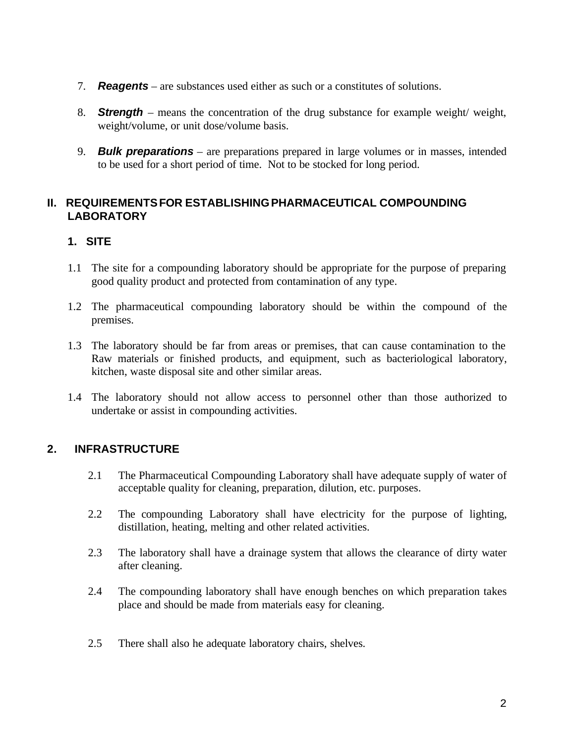- 7. *Reagents* are substances used either as such or a constitutes of solutions.
- 8. *Strength* means the concentration of the drug substance for example weight/ weight, weight/volume, or unit dose/volume basis.
- 9. *Bulk preparations* are preparations prepared in large volumes or in masses, intended to be used for a short period of time. Not to be stocked for long period.

#### **II. REQUIREMENTSFOR ESTABLISHINGPHARMACEUTICAL COMPOUNDING LABORATORY**

#### **1. SITE**

- 1.1 The site for a compounding laboratory should be appropriate for the purpose of preparing good quality product and protected from contamination of any type.
- 1.2 The pharmaceutical compounding laboratory should be within the compound of the premises.
- 1.3 The laboratory should be far from areas or premises, that can cause contamination to the Raw materials or finished products, and equipment, such as bacteriological laboratory, kitchen, waste disposal site and other similar areas.
- 1.4 The laboratory should not allow access to personnel other than those authorized to undertake or assist in compounding activities.

#### **2. INFRASTRUCTURE**

- 2.1 The Pharmaceutical Compounding Laboratory shall have adequate supply of water of acceptable quality for cleaning, preparation, dilution, etc. purposes.
- 2.2 The compounding Laboratory shall have electricity for the purpose of lighting, distillation, heating, melting and other related activities.
- 2.3 The laboratory shall have a drainage system that allows the clearance of dirty water after cleaning.
- 2.4 The compounding laboratory shall have enough benches on which preparation takes place and should be made from materials easy for cleaning.
- 2.5 There shall also he adequate laboratory chairs, shelves.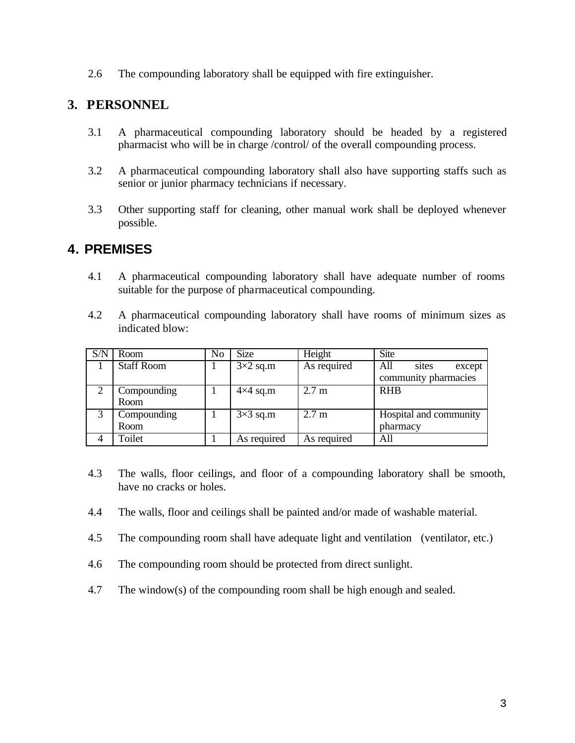2.6 The compounding laboratory shall be equipped with fire extinguisher.

## **3. PERSONNEL**

- 3.1 A pharmaceutical compounding laboratory should be headed by a registered pharmacist who will be in charge /control/ of the overall compounding process.
- 3.2 A pharmaceutical compounding laboratory shall also have supporting staffs such as senior or junior pharmacy technicians if necessary.
- 3.3 Other supporting staff for cleaning, other manual work shall be deployed whenever possible.

## **4. PREMISES**

- 4.1 A pharmaceutical compounding laboratory shall have adequate number of rooms suitable for the purpose of pharmaceutical compounding.
- 4.2 A pharmaceutical compounding laboratory shall have rooms of minimum sizes as indicated blow:

| S/N | Room              | No | <b>Size</b>     | Height           | <b>Site</b>            |
|-----|-------------------|----|-----------------|------------------|------------------------|
|     | <b>Staff Room</b> |    | $3\times2$ sq.m | As required      | All<br>sites<br>except |
|     |                   |    |                 |                  | community pharmacies   |
|     | Compounding       |    | $4\times4$ sq.m | $2.7 \text{ m}$  | <b>RHB</b>             |
|     | Room              |    |                 |                  |                        |
|     | Compounding       |    | $3\times3$ sq.m | 2.7 <sub>m</sub> | Hospital and community |
|     | Room              |    |                 |                  | pharmacy               |
|     | Toilet            |    | As required     | As required      | All                    |

- 4.3 The walls, floor ceilings, and floor of a compounding laboratory shall be smooth, have no cracks or holes.
- 4.4 The walls, floor and ceilings shall be painted and/or made of washable material.
- 4.5 The compounding room shall have adequate light and ventilation (ventilator, etc.)
- 4.6 The compounding room should be protected from direct sunlight.
- 4.7 The window(s) of the compounding room shall be high enough and sealed.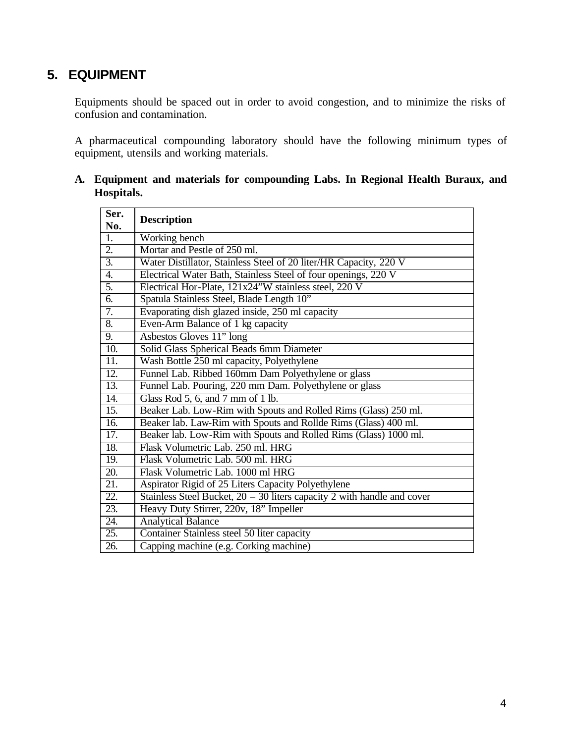## **5. EQUIPMENT**

Equipments should be spaced out in order to avoid congestion, and to minimize the risks of confusion and contamination.

A pharmaceutical compounding laboratory should have the following minimum types of equipment, utensils and working materials.

| Ser.<br>No.       | <b>Description</b>                                                        |  |  |  |
|-------------------|---------------------------------------------------------------------------|--|--|--|
| 1.                | Working bench                                                             |  |  |  |
| 2.                | Mortar and Pestle of 250 ml.                                              |  |  |  |
| $\overline{3}$ .  | Water Distillator, Stainless Steel of 20 liter/HR Capacity, 220 V         |  |  |  |
| 4.                | Electrical Water Bath, Stainless Steel of four openings, 220 V            |  |  |  |
| $\overline{5}$ .  | Electrical Hor-Plate, 121x24"W stainless steel, 220 V                     |  |  |  |
| 6.                | Spatula Stainless Steel, Blade Length 10"                                 |  |  |  |
| 7.                | Evaporating dish glazed inside, 250 ml capacity                           |  |  |  |
| 8.                | Even-Arm Balance of 1 kg capacity                                         |  |  |  |
| 9.                | Asbestos Gloves 11" long                                                  |  |  |  |
| 10.               | Solid Glass Spherical Beads 6mm Diameter                                  |  |  |  |
| 11.               | Wash Bottle 250 ml capacity, Polyethylene                                 |  |  |  |
| $\overline{12}$ . | Funnel Lab. Ribbed 160mm Dam Polyethylene or glass                        |  |  |  |
| 13.               | Funnel Lab. Pouring, 220 mm Dam. Polyethylene or glass                    |  |  |  |
| $\overline{14}$ . | Glass Rod 5, 6, and 7 mm of 1 lb.                                         |  |  |  |
| $\overline{15}$ . | Beaker Lab. Low-Rim with Spouts and Rolled Rims (Glass) 250 ml.           |  |  |  |
| 16.               | Beaker lab. Law-Rim with Spouts and Rollde Rims (Glass) 400 ml.           |  |  |  |
| $\overline{17}$ . | Beaker lab. Low-Rim with Spouts and Rolled Rims (Glass) 1000 ml.          |  |  |  |
| 18.               | Flask Volumetric Lab. 250 ml. HRG                                         |  |  |  |
| 19.               | Flask Volumetric Lab. 500 ml. HRG                                         |  |  |  |
| $\overline{20}$ . | Flask Volumetric Lab. 1000 ml HRG                                         |  |  |  |
| $\overline{21}$ . | Aspirator Rigid of 25 Liters Capacity Polyethylene                        |  |  |  |
| $\overline{22}$ . | Stainless Steel Bucket, $20 - 30$ liters capacity 2 with handle and cover |  |  |  |
| $\overline{23}$ . | Heavy Duty Stirrer, 220v, 18" Impeller                                    |  |  |  |
| 24.               | <b>Analytical Balance</b>                                                 |  |  |  |
| 25.               | Container Stainless steel 50 liter capacity                               |  |  |  |
| $\overline{26}$ . | Capping machine (e.g. Corking machine)                                    |  |  |  |

#### **A. Equipment and materials for compounding Labs. In Regional Health Buraux, and Hospitals.**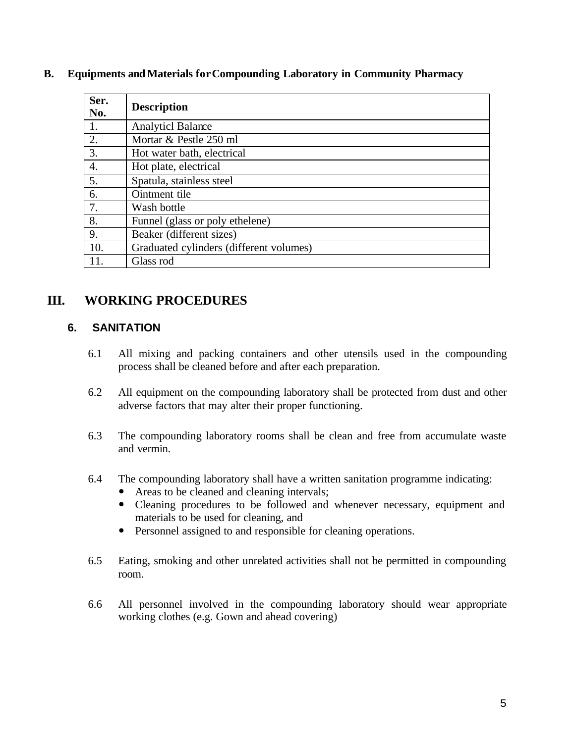| Ser.<br>No. | <b>Description</b>                      |  |  |
|-------------|-----------------------------------------|--|--|
| 1.          | <b>Analyticl Balance</b>                |  |  |
| 2.          | Mortar & Pestle 250 ml                  |  |  |
| 3.          | Hot water bath, electrical              |  |  |
| 4.          | Hot plate, electrical                   |  |  |
| 5.          | Spatula, stainless steel                |  |  |
| 6.          | Ointment tile                           |  |  |
| 7.          | Wash bottle                             |  |  |
| 8.          | Funnel (glass or poly ethelene)         |  |  |
| 9.          | Beaker (different sizes)                |  |  |
| 10.         | Graduated cylinders (different volumes) |  |  |
| 11.         | Glass rod                               |  |  |

#### **B. Equipments andMaterials forCompounding Laboratory in Community Pharmacy**

## **III. WORKING PROCEDURES**

#### **6. SANITATION**

- 6.1 All mixing and packing containers and other utensils used in the compounding process shall be cleaned before and after each preparation.
- 6.2 All equipment on the compounding laboratory shall be protected from dust and other adverse factors that may alter their proper functioning.
- 6.3 The compounding laboratory rooms shall be clean and free from accumulate waste and vermin.
- 6.4 The compounding laboratory shall have a written sanitation programme indicating:
	- Areas to be cleaned and cleaning intervals;
	- ó Cleaning procedures to be followed and whenever necessary, equipment and materials to be used for cleaning, and
	- ó Personnel assigned to and responsible for cleaning operations.
- 6.5 Eating, smoking and other unrelated activities shall not be permitted in compounding room.
- 6.6 All personnel involved in the compounding laboratory should wear appropriate working clothes (e.g. Gown and ahead covering)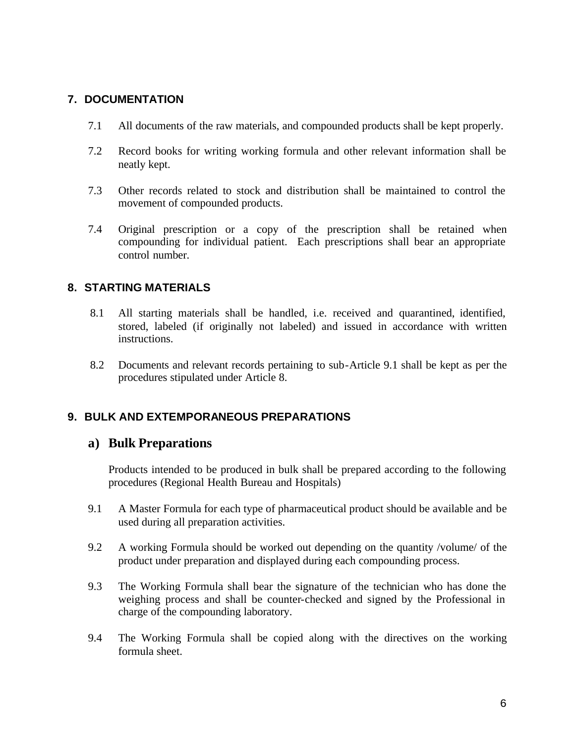#### **7. DOCUMENTATION**

- 7.1 All documents of the raw materials, and compounded products shall be kept properly.
- 7.2 Record books for writing working formula and other relevant information shall be neatly kept.
- 7.3 Other records related to stock and distribution shall be maintained to control the movement of compounded products.
- 7.4 Original prescription or a copy of the prescription shall be retained when compounding for individual patient. Each prescriptions shall bear an appropriate control number.

#### **8. STARTING MATERIALS**

- 8.1 All starting materials shall be handled, i.e. received and quarantined, identified, stored, labeled (if originally not labeled) and issued in accordance with written instructions.
- 8.2 Documents and relevant records pertaining to sub-Article 9.1 shall be kept as per the procedures stipulated under Article 8.

#### **9. BULK AND EXTEMPORANEOUS PREPARATIONS**

#### **a) Bulk Preparations**

Products intended to be produced in bulk shall be prepared according to the following procedures (Regional Health Bureau and Hospitals)

- 9.1 A Master Formula for each type of pharmaceutical product should be available and be used during all preparation activities.
- 9.2 A working Formula should be worked out depending on the quantity /volume/ of the product under preparation and displayed during each compounding process.
- 9.3 The Working Formula shall bear the signature of the technician who has done the weighing process and shall be counter-checked and signed by the Professional in charge of the compounding laboratory.
- 9.4 The Working Formula shall be copied along with the directives on the working formula sheet.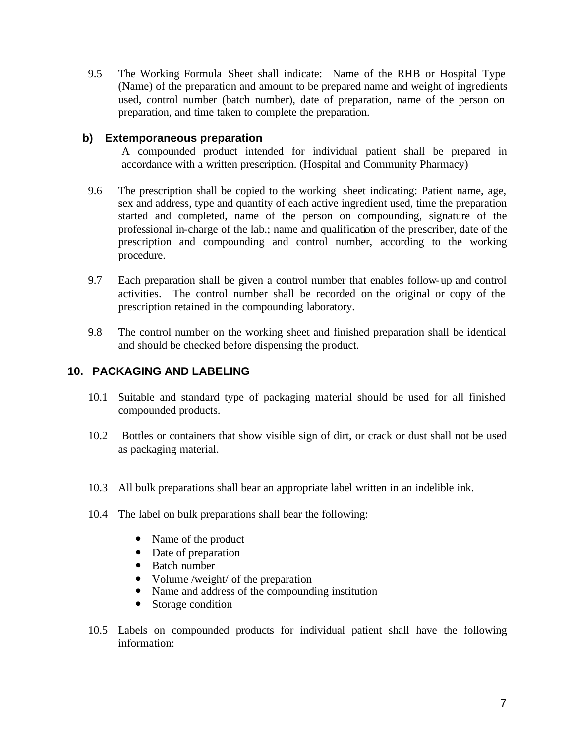9.5 The Working Formula Sheet shall indicate: Name of the RHB or Hospital Type (Name) of the preparation and amount to be prepared name and weight of ingredients used, control number (batch number), date of preparation, name of the person on preparation, and time taken to complete the preparation.

#### **b) Extemporaneous preparation**

A compounded product intended for individual patient shall be prepared in accordance with a written prescription. (Hospital and Community Pharmacy)

- 9.6 The prescription shall be copied to the working sheet indicating: Patient name, age, sex and address, type and quantity of each active ingredient used, time the preparation started and completed, name of the person on compounding, signature of the professional in-charge of the lab.; name and qualification of the prescriber, date of the prescription and compounding and control number, according to the working procedure.
- 9.7 Each preparation shall be given a control number that enables follow-up and control activities. The control number shall be recorded on the original or copy of the prescription retained in the compounding laboratory.
- 9.8 The control number on the working sheet and finished preparation shall be identical and should be checked before dispensing the product.

#### **10. PACKAGING AND LABELING**

- 10.1 Suitable and standard type of packaging material should be used for all finished compounded products.
- 10.2 Bottles or containers that show visible sign of dirt, or crack or dust shall not be used as packaging material.
- 10.3 All bulk preparations shall bear an appropriate label written in an indelible ink.
- 10.4 The label on bulk preparations shall bear the following:
	- Name of the product
	- Date of preparation
	- ó Batch number
	- Volume /weight/ of the preparation
	- Name and address of the compounding institution
	- Storage condition
- 10.5 Labels on compounded products for individual patient shall have the following information: